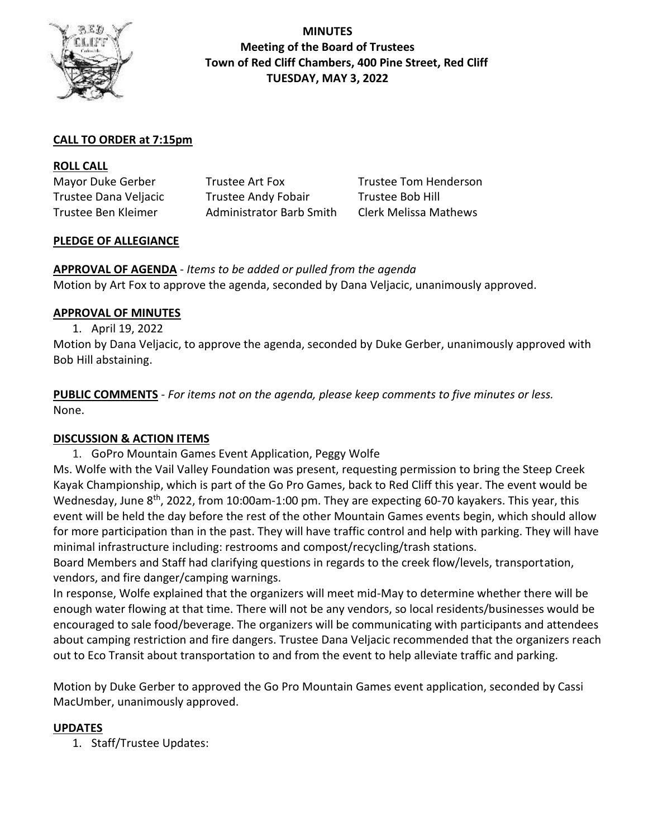

**MINUTES Meeting of the Board of Trustees Town of Red Cliff Chambers, 400 Pine Street, Red Cliff TUESDAY, MAY 3, 2022**

# **CALL TO ORDER at 7:15pm**

| <b>ROLL CALL</b>      |                                 |                       |
|-----------------------|---------------------------------|-----------------------|
| Mayor Duke Gerber     | Trustee Art Fox                 | Trustee Tom Henderson |
| Trustee Dana Veljacic | <b>Trustee Andy Fobair</b>      | Trustee Bob Hill      |
| Trustee Ben Kleimer   | <b>Administrator Barb Smith</b> | Clerk Melissa Mathews |

# **PLEDGE OF ALLEGIANCE**

**APPROVAL OF AGENDA** *- Items to be added or pulled from the agenda* Motion by Art Fox to approve the agenda, seconded by Dana Veljacic, unanimously approved.

#### **APPROVAL OF MINUTES**

1. April 19, 2022

Motion by Dana Veljacic, to approve the agenda, seconded by Duke Gerber, unanimously approved with Bob Hill abstaining.

**PUBLIC COMMENTS** *- For items not on the agenda, please keep comments to five minutes or less.* None.

# **DISCUSSION & ACTION ITEMS**

1. GoPro Mountain Games Event Application, Peggy Wolfe

Ms. Wolfe with the Vail Valley Foundation was present, requesting permission to bring the Steep Creek Kayak Championship, which is part of the Go Pro Games, back to Red Cliff this year. The event would be Wednesday, June 8<sup>th</sup>, 2022, from 10:00am-1:00 pm. They are expecting 60-70 kayakers. This year, this event will be held the day before the rest of the other Mountain Games events begin, which should allow for more participation than in the past. They will have traffic control and help with parking. They will have minimal infrastructure including: restrooms and compost/recycling/trash stations.

Board Members and Staff had clarifying questions in regards to the creek flow/levels, transportation, vendors, and fire danger/camping warnings.

In response, Wolfe explained that the organizers will meet mid-May to determine whether there will be enough water flowing at that time. There will not be any vendors, so local residents/businesses would be encouraged to sale food/beverage. The organizers will be communicating with participants and attendees about camping restriction and fire dangers. Trustee Dana Veljacic recommended that the organizers reach out to Eco Transit about transportation to and from the event to help alleviate traffic and parking.

Motion by Duke Gerber to approved the Go Pro Mountain Games event application, seconded by Cassi MacUmber, unanimously approved.

# **UPDATES**

1. Staff/Trustee Updates: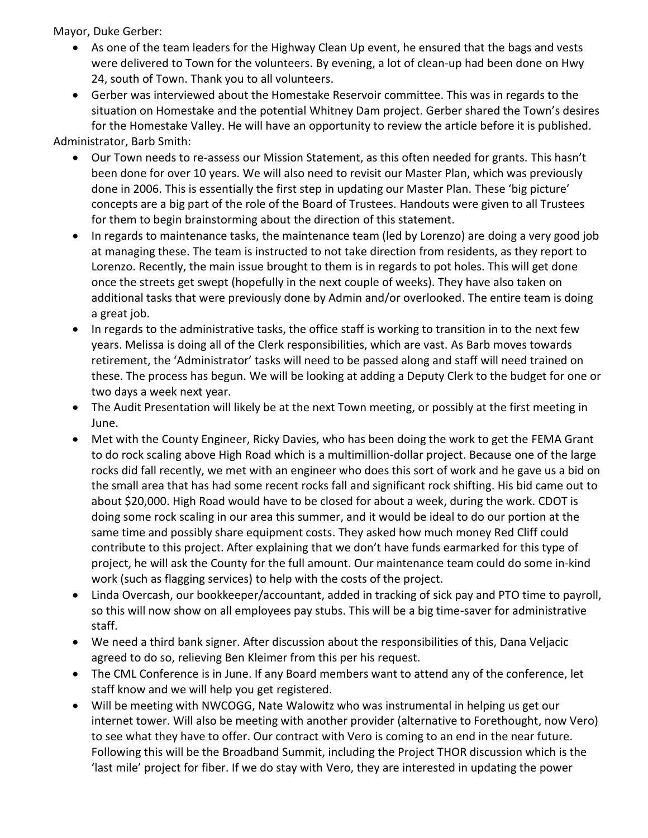Mayor, Duke Gerber:

- As one of the team leaders for the Highway Clean Up event, he ensured that the bags and vests were delivered to Town for the volunteers. By evening, a lot of clean-up had been done on Hwy 24, south of Town. Thank you to all volunteers.
- Gerber was interviewed about the Homestake Reservoir committee. This was in regards to the situation on Homestake and the potential Whitney Dam project. Gerber shared the Town's desires for the Homestake Valley. He will have an opportunity to review the article before it is published.

Administrator, Barb Smith:

- Our Town needs to re-assess our Mission Statement, as this often needed for grants. This hasn't been done for over 10 years. We will also need to revisit our Master Plan, which was previously done in 2006. This is essentially the first step in updating our Master Plan. These 'big picture' concepts are a big part of the role of the Board of Trustees. Handouts were given to all Trustees for them to begin brainstorming about the direction of this statement.
- In regards to maintenance tasks, the maintenance team (led by Lorenzo) are doing a very good job at managing these. The team is instructed to not take direction from residents, as they report to Lorenzo. Recently, the main issue brought to them is in regards to pot holes. This will get done once the streets get swept (hopefully in the next couple of weeks). They have also taken on additional tasks that were previously done by Admin and/or overlooked. The entire team is doing a great job.
- In regards to the administrative tasks, the office staff is working to transition in to the next few years. Melissa is doing all of the Clerk responsibilities, which are vast. As Barb moves towards retirement, the 'Administrator' tasks will need to be passed along and staff will need trained on these. The process has begun. We will be looking at adding a Deputy Clerk to the budget for one or two days a week next year.
- The Audit Presentation will likely be at the next Town meeting, or possibly at the first meeting in June.
- Met with the County Engineer, Ricky Davies, who has been doing the work to get the FEMA Grant to do rock scaling above High Road which is a multimillion-dollar project. Because one of the large rocks did fall recently, we met with an engineer who does this sort of work and he gave us a bid on the small area that has had some recent rocks fall and significant rock shifting. His bid came out to about \$20,000. High Road would have to be closed for about a week, during the work. CDOT is doing some rock scaling in our area this summer, and it would be ideal to do our portion at the same time and possibly share equipment costs. They asked how much money Red Cliff could contribute to this project. After explaining that we don't have funds earmarked for this type of project, he will ask the County for the full amount. Our maintenance team could do some in-kind work (such as flagging services) to help with the costs of the project.
- Linda Overcash, our bookkeeper/accountant, added in tracking of sick pay and PTO time to payroll, so this will now show on all employees pay stubs. This will be a big time-saver for administrative staff.
- We need a third bank signer. After discussion about the responsibilities of this, Dana Veljacic agreed to do so, relieving Ben Kleimer from this per his request.
- The CML Conference is in June. If any Board members want to attend any of the conference, let staff know and we will help you get registered.
- Will be meeting with NWCOGG, Nate Walowitz who was instrumental in helping us get our internet tower. Will also be meeting with another provider (alternative to Forethought, now Vero) to see what they have to offer. Our contract with Vero is coming to an end in the near future. Following this will be the Broadband Summit, including the Project THOR discussion which is the 'last mile' project for fiber. If we do stay with Vero, they are interested in updating the power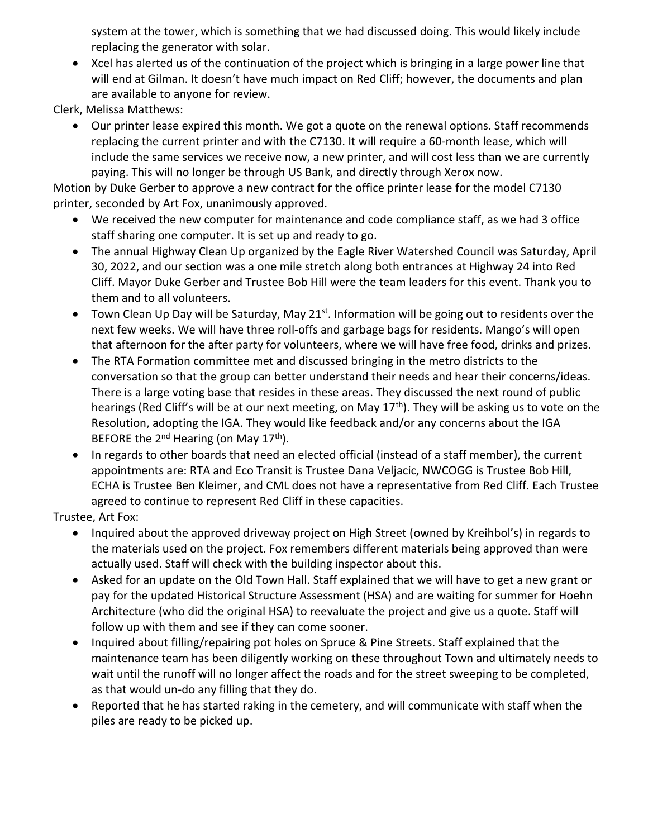system at the tower, which is something that we had discussed doing. This would likely include replacing the generator with solar.

• Xcel has alerted us of the continuation of the project which is bringing in a large power line that will end at Gilman. It doesn't have much impact on Red Cliff; however, the documents and plan are available to anyone for review.

Clerk, Melissa Matthews:

• Our printer lease expired this month. We got a quote on the renewal options. Staff recommends replacing the current printer and with the C7130. It will require a 60-month lease, which will include the same services we receive now, a new printer, and will cost less than we are currently paying. This will no longer be through US Bank, and directly through Xerox now.

Motion by Duke Gerber to approve a new contract for the office printer lease for the model C7130 printer, seconded by Art Fox, unanimously approved.

- We received the new computer for maintenance and code compliance staff, as we had 3 office staff sharing one computer. It is set up and ready to go.
- The annual Highway Clean Up organized by the Eagle River Watershed Council was Saturday, April 30, 2022, and our section was a one mile stretch along both entrances at Highway 24 into Red Cliff. Mayor Duke Gerber and Trustee Bob Hill were the team leaders for this event. Thank you to them and to all volunteers.
- Town Clean Up Day will be Saturday, May 21<sup>st</sup>. Information will be going out to residents over the next few weeks. We will have three roll-offs and garbage bags for residents. Mango's will open that afternoon for the after party for volunteers, where we will have free food, drinks and prizes.
- The RTA Formation committee met and discussed bringing in the metro districts to the conversation so that the group can better understand their needs and hear their concerns/ideas. There is a large voting base that resides in these areas. They discussed the next round of public hearings (Red Cliff's will be at our next meeting, on May 17<sup>th</sup>). They will be asking us to vote on the Resolution, adopting the IGA. They would like feedback and/or any concerns about the IGA BEFORE the  $2^{nd}$  Hearing (on May  $17^{th}$ ).
- In regards to other boards that need an elected official (instead of a staff member), the current appointments are: RTA and Eco Transit is Trustee Dana Veljacic, NWCOGG is Trustee Bob Hill, ECHA is Trustee Ben Kleimer, and CML does not have a representative from Red Cliff. Each Trustee agreed to continue to represent Red Cliff in these capacities.

Trustee, Art Fox:

- Inquired about the approved driveway project on High Street (owned by Kreihbol's) in regards to the materials used on the project. Fox remembers different materials being approved than were actually used. Staff will check with the building inspector about this.
- Asked for an update on the Old Town Hall. Staff explained that we will have to get a new grant or pay for the updated Historical Structure Assessment (HSA) and are waiting for summer for Hoehn Architecture (who did the original HSA) to reevaluate the project and give us a quote. Staff will follow up with them and see if they can come sooner.
- Inquired about filling/repairing pot holes on Spruce & Pine Streets. Staff explained that the maintenance team has been diligently working on these throughout Town and ultimately needs to wait until the runoff will no longer affect the roads and for the street sweeping to be completed, as that would un-do any filling that they do.
- Reported that he has started raking in the cemetery, and will communicate with staff when the piles are ready to be picked up.